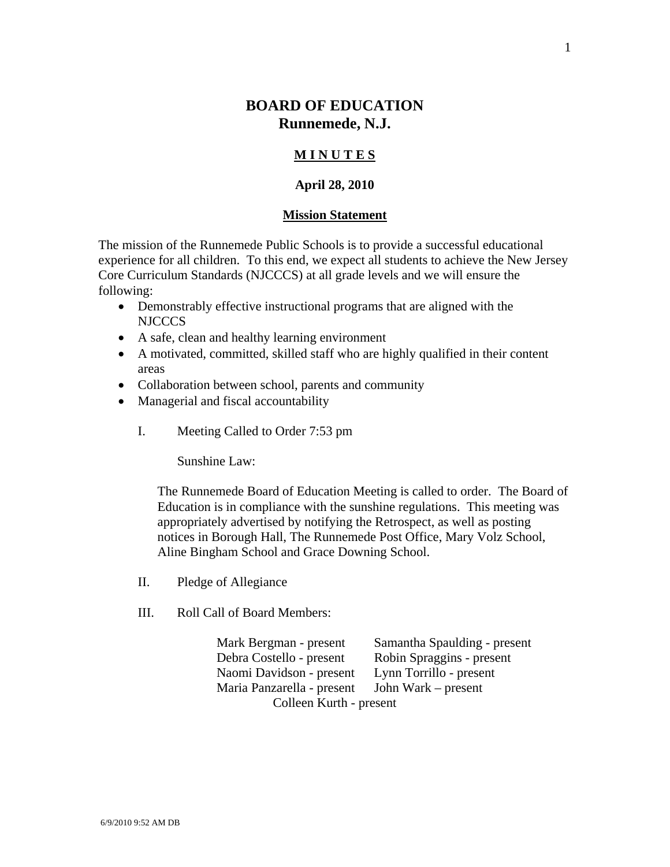# **BOARD OF EDUCATION Runnemede, N.J.**

## **M I N U T E S**

## **April 28, 2010**

#### **Mission Statement**

The mission of the Runnemede Public Schools is to provide a successful educational experience for all children. To this end, we expect all students to achieve the New Jersey Core Curriculum Standards (NJCCCS) at all grade levels and we will ensure the following:

- Demonstrably effective instructional programs that are aligned with the NJCCCS
- A safe, clean and healthy learning environment
- A motivated, committed, skilled staff who are highly qualified in their content areas
- Collaboration between school, parents and community
- Managerial and fiscal accountability
	- I. Meeting Called to Order 7:53 pm

Sunshine Law:

The Runnemede Board of Education Meeting is called to order. The Board of Education is in compliance with the sunshine regulations. This meeting was appropriately advertised by notifying the Retrospect, as well as posting notices in Borough Hall, The Runnemede Post Office, Mary Volz School, Aline Bingham School and Grace Downing School.

- II. Pledge of Allegiance
- III. Roll Call of Board Members:

 Mark Bergman - present Samantha Spaulding - present Debra Costello - present Robin Spraggins - present Naomi Davidson - present Lynn Torrillo - present Maria Panzarella - present John Wark – present Colleen Kurth - present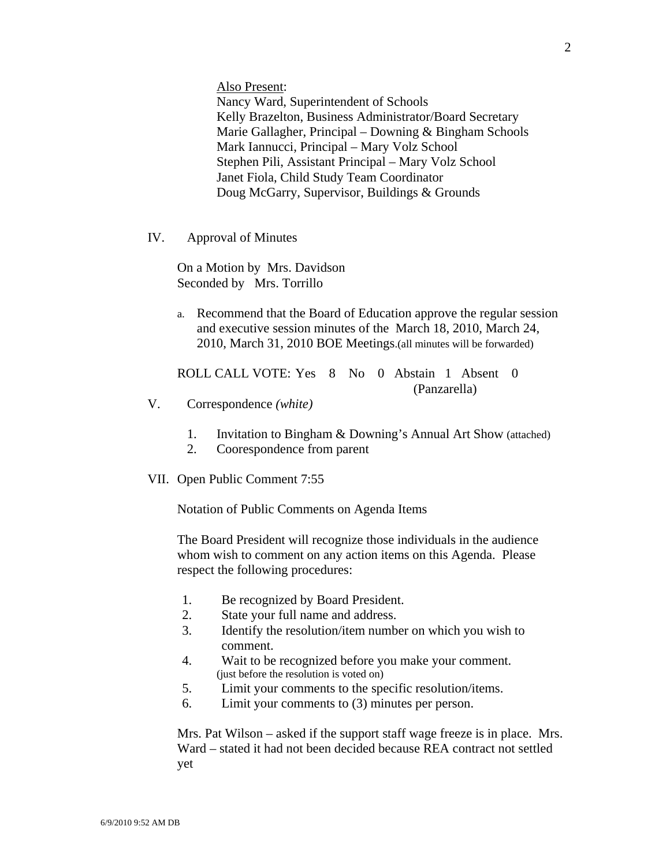Also Present:

Nancy Ward, Superintendent of Schools Kelly Brazelton, Business Administrator/Board Secretary Marie Gallagher, Principal – Downing & Bingham Schools Mark Iannucci, Principal – Mary Volz School Stephen Pili, Assistant Principal – Mary Volz School Janet Fiola, Child Study Team Coordinator Doug McGarry, Supervisor, Buildings & Grounds

IV. Approval of Minutes

On a Motion by Mrs. Davidson Seconded by Mrs. Torrillo

a. Recommend that the Board of Education approve the regular session and executive session minutes of the March 18, 2010, March 24, 2010, March 31, 2010 BOE Meetings.(all minutes will be forwarded)

ROLL CALL VOTE: Yes 8 No 0 Abstain 1 Absent 0 (Panzarella)

- V. Correspondence *(white)* 
	- 1. Invitation to Bingham & Downing's Annual Art Show (attached)
	- 2. Coorespondence from parent
- VII. Open Public Comment 7:55

Notation of Public Comments on Agenda Items

The Board President will recognize those individuals in the audience whom wish to comment on any action items on this Agenda. Please respect the following procedures:

- 1. Be recognized by Board President.
- 2. State your full name and address.
- 3. Identify the resolution/item number on which you wish to comment.
- 4. Wait to be recognized before you make your comment. (just before the resolution is voted on)
- 5. Limit your comments to the specific resolution/items.
- 6. Limit your comments to (3) minutes per person.

Mrs. Pat Wilson – asked if the support staff wage freeze is in place. Mrs. Ward – stated it had not been decided because REA contract not settled yet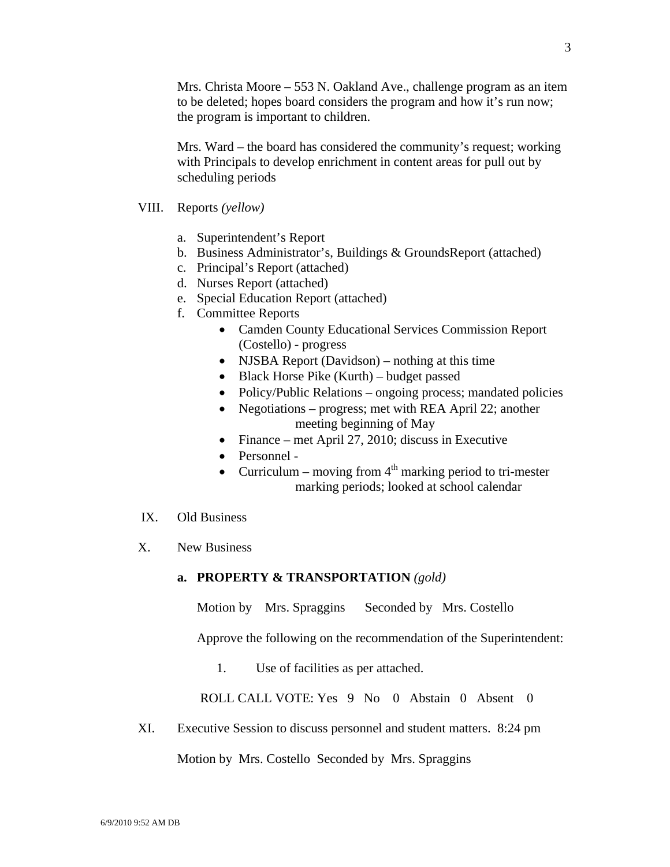Mrs. Christa Moore – 553 N. Oakland Ave., challenge program as an item to be deleted; hopes board considers the program and how it's run now; the program is important to children.

Mrs. Ward – the board has considered the community's request; working with Principals to develop enrichment in content areas for pull out by scheduling periods

- VIII. Reports *(yellow)* 
	- a. Superintendent's Report
	- b. Business Administrator's, Buildings & GroundsReport (attached)
	- c. Principal's Report (attached)
	- d. Nurses Report (attached)
	- e. Special Education Report (attached)
	- f. Committee Reports
		- Camden County Educational Services Commission Report (Costello) - progress
		- NJSBA Report (Davidson) nothing at this time
		- Black Horse Pike (Kurth) budget passed
		- Policy/Public Relations ongoing process; mandated policies
		- Negotiations progress; met with REA April 22; another meeting beginning of May
		- Finance met April 27, 2010; discuss in Executive
		- Personnel -
		- Curriculum moving from  $4<sup>th</sup>$  marking period to tri-mester marking periods; looked at school calendar
- IX. Old Business
- X. New Business

#### **a. PROPERTY & TRANSPORTATION** *(gold)*

Motion by Mrs. Spraggins Seconded by Mrs. Costello

Approve the following on the recommendation of the Superintendent:

1. Use of facilities as per attached.

ROLL CALL VOTE: Yes 9 No 0 Abstain 0 Absent 0

XI. Executive Session to discuss personnel and student matters. 8:24 pm

Motion by Mrs. Costello Seconded by Mrs. Spraggins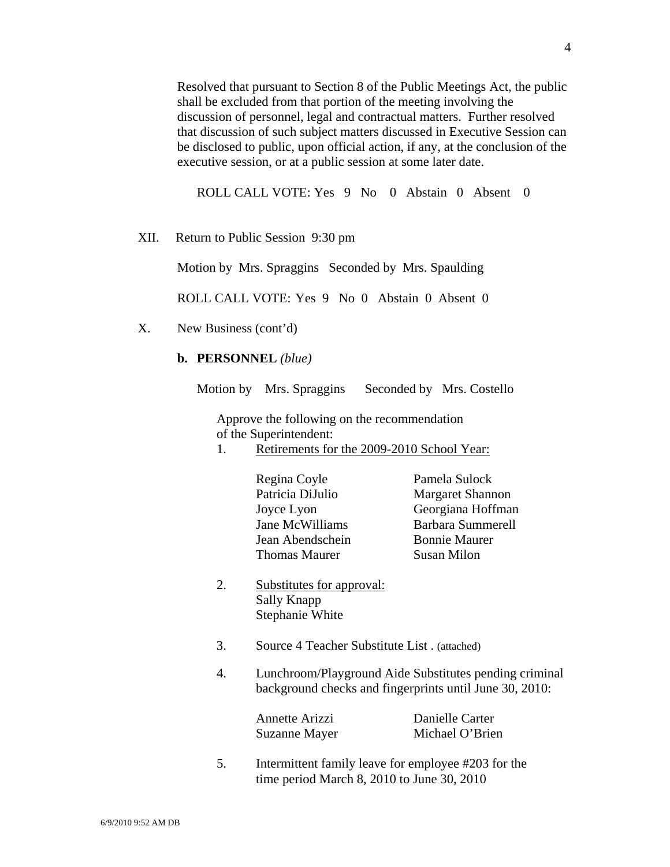Resolved that pursuant to Section 8 of the Public Meetings Act, the public shall be excluded from that portion of the meeting involving the discussion of personnel, legal and contractual matters. Further resolved that discussion of such subject matters discussed in Executive Session can be disclosed to public, upon official action, if any, at the conclusion of the executive session, or at a public session at some later date.

ROLL CALL VOTE: Yes 9 No 0 Abstain 0 Absent 0

XII. Return to Public Session 9:30 pm

Motion by Mrs. Spraggins Seconded by Mrs. Spaulding

ROLL CALL VOTE: Yes 9 No 0 Abstain 0 Absent 0

X. New Business (cont'd)

#### **b. PERSONNEL** *(blue)*

Motion by Mrs. Spraggins Seconded by Mrs. Costello

 Approve the following on the recommendation of the Superintendent:

- 1. Retirements for the 2009-2010 School Year:
	- Regina Coyle Pamela Sulock Patricia DiJulio Margaret Shannon Joyce Lyon Georgiana Hoffman Jane McWilliams Barbara Summerell Jean Abendschein Bonnie Maurer Thomas Maurer Susan Milon

- 2. Substitutes for approval: Sally Knapp Stephanie White
- 3. Source 4 Teacher Substitute List . (attached)
- 4. Lunchroom/Playground Aide Substitutes pending criminal background checks and fingerprints until June 30, 2010:

| Annette Arizzi | Danielle Carter |
|----------------|-----------------|
| Suzanne Mayer  | Michael O'Brien |

 5. Intermittent family leave for employee #203 for the time period March 8, 2010 to June 30, 2010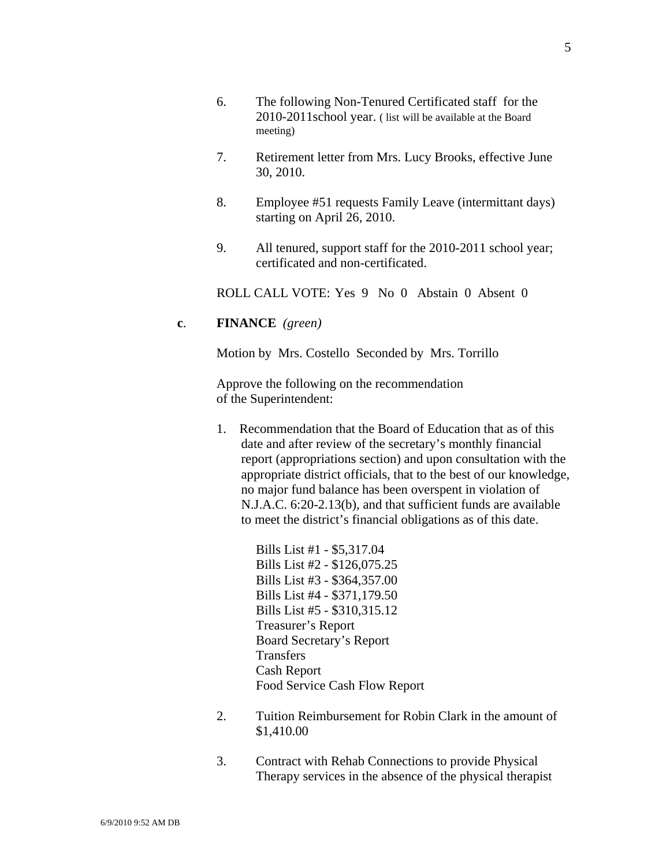- 6. The following Non-Tenured Certificated staff for the 2010-2011school year. ( list will be available at the Board meeting)
- 7. Retirement letter from Mrs. Lucy Brooks, effective June 30, 2010.
- 8. Employee #51 requests Family Leave (intermittant days) starting on April 26, 2010.
- 9. All tenured, support staff for the 2010-2011 school year; certificated and non-certificated.

ROLL CALL VOTE: Yes 9 No 0 Abstain 0 Absent 0

#### **c**. **FINANCE** *(green)*

Motion by Mrs. Costello Seconded by Mrs. Torrillo

Approve the following on the recommendation of the Superintendent:

1. Recommendation that the Board of Education that as of this date and after review of the secretary's monthly financial report (appropriations section) and upon consultation with the appropriate district officials, that to the best of our knowledge, no major fund balance has been overspent in violation of N.J.A.C. 6:20-2.13(b), and that sufficient funds are available to meet the district's financial obligations as of this date.

> Bills List #1 - \$5,317.04 Bills List #2 - \$126,075.25 Bills List #3 - \$364,357.00 Bills List #4 - \$371,179.50 Bills List #5 - \$310,315.12 Treasurer's Report Board Secretary's Report **Transfers**  Cash Report Food Service Cash Flow Report

- 2. Tuition Reimbursement for Robin Clark in the amount of \$1,410.00
- 3. Contract with Rehab Connections to provide Physical Therapy services in the absence of the physical therapist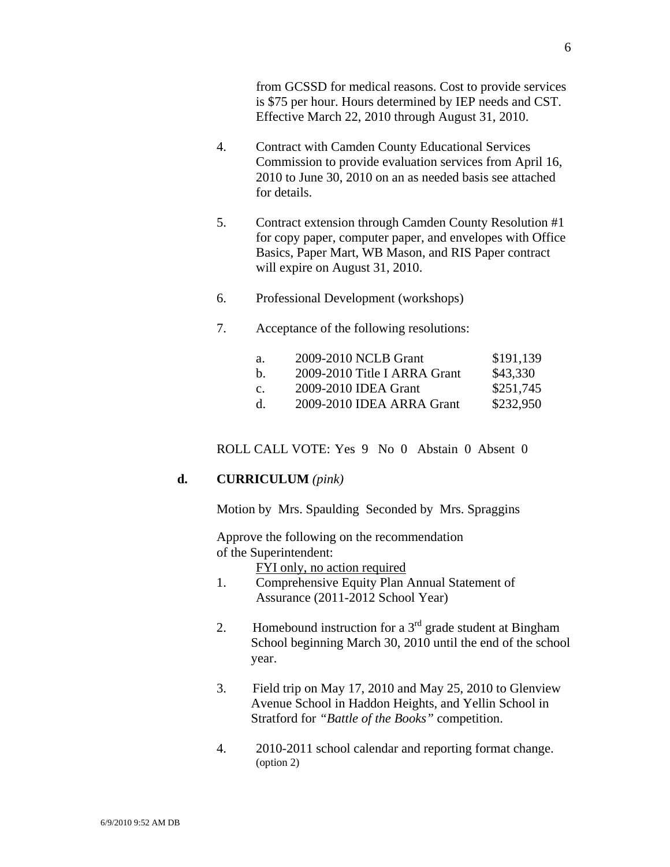from GCSSD for medical reasons. Cost to provide services is \$75 per hour. Hours determined by IEP needs and CST. Effective March 22, 2010 through August 31, 2010.

- 4. Contract with Camden County Educational Services Commission to provide evaluation services from April 16, 2010 to June 30, 2010 on an as needed basis see attached for details.
- 5. Contract extension through Camden County Resolution #1 for copy paper, computer paper, and envelopes with Office Basics, Paper Mart, WB Mason, and RIS Paper contract will expire on August 31, 2010.
- 6. Professional Development (workshops)
- 7. Acceptance of the following resolutions:

| а.          | 2009-2010 NCLB Grant         | \$191,139 |
|-------------|------------------------------|-----------|
| h.          | 2009-2010 Title I ARRA Grant | \$43,330  |
| $C_{\cdot}$ | 2009-2010 IDEA Grant         | \$251,745 |
| d.          | 2009-2010 IDEA ARRA Grant    | \$232,950 |

ROLL CALL VOTE: Yes 9 No 0 Abstain 0 Absent 0

#### **d. CURRICULUM** *(pink)*

Motion by Mrs. Spaulding Seconded by Mrs. Spraggins

Approve the following on the recommendation of the Superintendent:

FYI only, no action required

- 1. Comprehensive Equity Plan Annual Statement of Assurance (2011-2012 School Year)
- 2. Homebound instruction for a  $3<sup>rd</sup>$  grade student at Bingham School beginning March 30, 2010 until the end of the school year.
- 3. Field trip on May 17, 2010 and May 25, 2010 to Glenview Avenue School in Haddon Heights, and Yellin School in Stratford for *"Battle of the Books"* competition.
- 4. 2010-2011 school calendar and reporting format change. (option 2)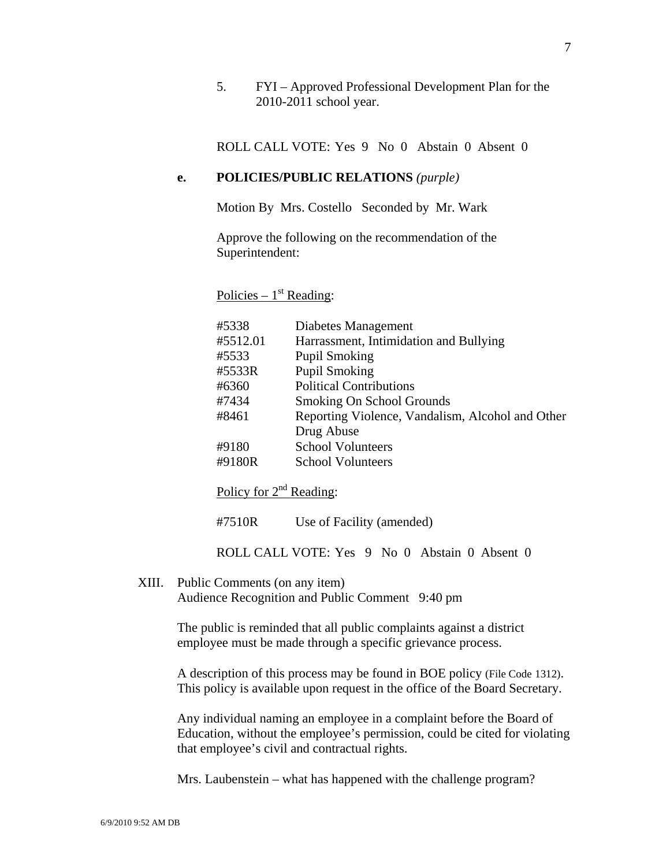5. FYI – Approved Professional Development Plan for the 2010-2011 school year.

ROLL CALL VOTE: Yes 9 No 0 Abstain 0 Absent 0

### **e. POLICIES/PUBLIC RELATIONS** *(purple)*

Motion By Mrs. Costello Seconded by Mr. Wark

Approve the following on the recommendation of the Superintendent:

#### Policies –  $1<sup>st</sup>$  Reading:

| #5338    | Diabetes Management                              |
|----------|--------------------------------------------------|
|          |                                                  |
| #5512.01 | Harrassment, Intimidation and Bullying           |
| #5533    | <b>Pupil Smoking</b>                             |
| #5533R   | <b>Pupil Smoking</b>                             |
| #6360    | <b>Political Contributions</b>                   |
| #7434    | Smoking On School Grounds                        |
| #8461    | Reporting Violence, Vandalism, Alcohol and Other |
|          | Drug Abuse                                       |
| #9180    | <b>School Volunteers</b>                         |
| #9180R   | <b>School Volunteers</b>                         |

Policy for  $2<sup>nd</sup>$  Reading:

#7510R Use of Facility (amended)

ROLL CALL VOTE: Yes 9 No 0 Abstain 0 Absent 0

XIII. Public Comments (on any item) Audience Recognition and Public Comment 9:40 pm

> The public is reminded that all public complaints against a district employee must be made through a specific grievance process.

A description of this process may be found in BOE policy (File Code 1312). This policy is available upon request in the office of the Board Secretary.

Any individual naming an employee in a complaint before the Board of Education, without the employee's permission, could be cited for violating that employee's civil and contractual rights.

Mrs. Laubenstein – what has happened with the challenge program?